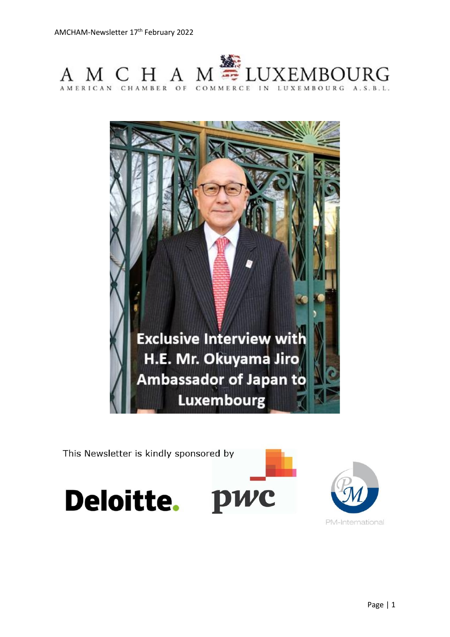



This Newsletter is kindly sponsored by





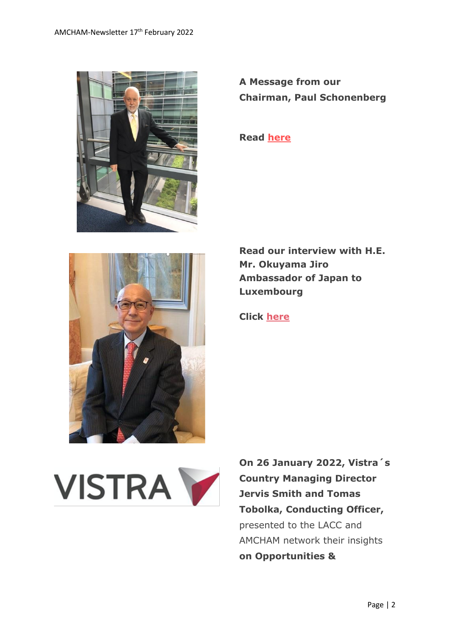

**A Message from our Chairman, Paul Schonenberg**

**Read [here](https://www.amcham.lu/newsletter/chairmans-remarks-17-february-2022/)**



**Read our interview with H.E. Mr. Okuyama Jiro Ambassador of Japan to Luxembourg**

**Click [here](https://www.amcham.lu/newsletter/interview-with-h-e-ambassador-okuyama/)**



**On 26 January 2022, Vistra´s Country Managing Director Jervis Smith and Tomas Tobolka, Conducting Officer,**  presented to the LACC and AMCHAM network their insights **on Opportunities &**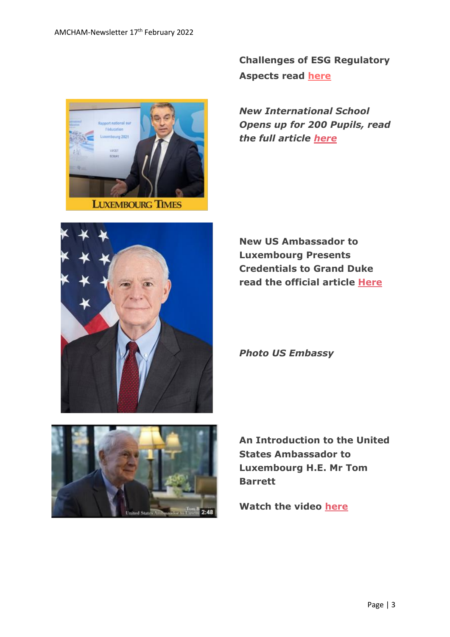

**Challenges of ESG Regulatory Aspects read [here](https://www.amcham.lu/newsletter/insights-on-opportunities-challenges-of-esg-regulatory-aspects/)**

*New International School Opens up for 200 Pupils, read the full article [here](https://www.luxtimes.lu/en/luxembourg/new-international-school-opens-for-300-pupils-6203c23fde135b9236e20748)*



**New US Ambassador to Luxembourg Presents Credentials to Grand Duke read the official article [Here](https://lu.usembassy.gov/u-s-ambassador-thomas-barrett-presents-credentials-to-his-royal-highness-the-grand-duke-of-luxembourg/)**

*Photo US Embassy*



**An Introduction to the United States Ambassador to Luxembourg H.E. Mr Tom Barrett**

**Watch the video [here](https://www.youtube.com/watch?v=Dhw5VMYTmao)**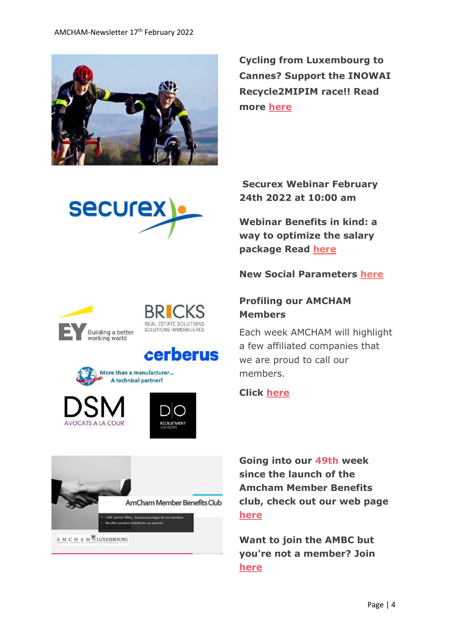

**Cycling from Luxembourg to Cannes? Support the INOWAI Recycle2MIPIM race!! Read more [here](https://www.amcham.lu/newsletter/cycling-from-luxembourg-to-cannes-support-the-inowai-recycle2mipim-race/)**



Building a better working world

REAL ESTATE SOLUTIONS SOLUTIONS IMMOBILIERES

# cerberus



AVOCATS A LA COUR



AmCham Member Benefits Club r offens, Exclusive privileges for our m

A M C H A M<sup>S</sup>LUXEMBOURG

## **Securex Webinar February 24th 2022 at 10:00 am**

**Webinar Benefits in kind: a way to optimize the salary package Read [here](https://www.amcham.lu/wp-content/uploads/2022/02/securex-hracademy.pdf)**

#### **New Social Parameters [here](https://www.securex.lu/sites/default/files/2022-01/Social_parameters_2022.pdf)**

## **Profiling our AMCHAM Members**

Each week AMCHAM will highlight a few affiliated companies that we are proud to call our members.

#### **Click [here](https://www.amcham.lu/newsletter/profiling-our-amcham-members-17th-february-2022/)**

**Going into our 49th week since the launch of the Amcham Member Benefits club, check out our web page [here](https://www.amcham.lu/amcham-benefits-club/)**

**Want to join the AMBC but you're not a member? Join [here](https://www.amcham.lu/amcham-benefits-club/ambc-card-for-non-members/)**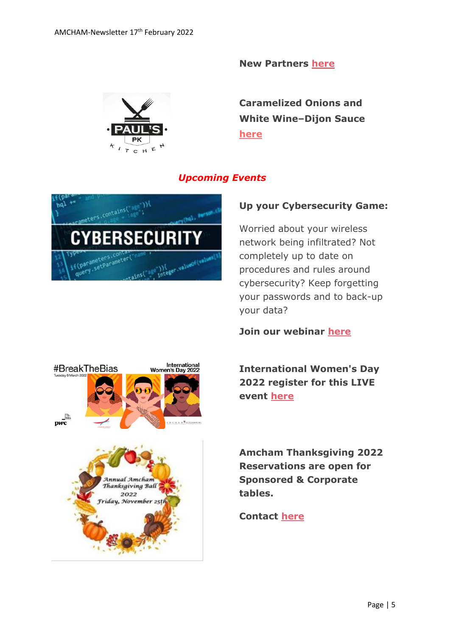**New Partners [here](https://www.amcham.lu/newsletter/latest-mbc-partners-17th-february-2022/)**



**Caramelized Onions and White Wine–Dijon Sauce [here](https://www.amcham.lu/newsletter/recipe-pork-loin-roast-with-caramelized-onions-and-white-wine-dijon-sauce/)**

## *Upcoming Events*



### **Up your Cybersecurity Game:**

Worried about your wireless network being infiltrated? Not completely up to date on procedures and rules around cybersecurity? Keep forgetting your passwords and to back-up your data?

**Join our webinar [here](https://www.amcham.lu/events/up-your-cybersecurity-game/)**

**International Women's Day 2022 register for this LIVE event [here](https://www.amcham.lu/events/international-womens-day-2022/)**

**Amcham Thanksgiving 2022 Reservations are open for Sponsored & Corporate tables.** 

#### **Contact [here](mailto:daniel@amcham.lu)**